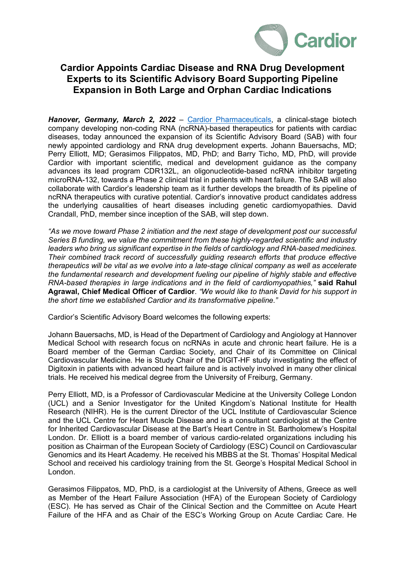

## **Cardior Appoints Cardiac Disease and RNA Drug Development Experts to its Scientific Advisory Board Supporting Pipeline Expansion in Both Large and Orphan Cardiac Indications**

*Hanover, Germany, March 2, 2022* – Cardior [Pharmaceuticals,](http://www.cardior.de/) a clinical-stage biotech company developing non-coding RNA (ncRNA)-based therapeutics for patients with cardiac diseases, today announced the expansion of its Scientific Advisory Board (SAB) with four newly appointed cardiology and RNA drug development experts. Johann Bauersachs, MD; Perry Elliott, MD; Gerasimos Filippatos, MD, PhD; and Barry Ticho, MD, PhD, will provide Cardior with important scientific, medical and development guidance as the company advances its lead program CDR132L, an oligonucleotide-based ncRNA inhibitor targeting microRNA-132, towards a Phase 2 clinical trial in patients with heart failure. The SAB will also collaborate with Cardior's leadership team as it further develops the breadth of its pipeline of ncRNA therapeutics with curative potential. Cardior's innovative product candidates address the underlying causalities of heart diseases including genetic cardiomyopathies. David Crandall, PhD, member since inception of the SAB, will step down.

*"As we move toward Phase 2 initiation and the next stage of development post our successful Series B funding, we value the commitment from these highly-regarded scientific and industry leaders who bring us significant expertise in the fields of cardiology and RNA-based medicines. Their combined track record of successfully guiding research efforts that produce effective therapeutics will be vital as we evolve into a late-stage clinical company as well as accelerate the fundamental research and development fueling our pipeline of highly stable and effective RNA-based therapies in large indications and in the field of cardiomyopathies,"* **said Rahul Agrawal, Chief Medical Officer of Cardior**. *"We would like to thank David for his support in the short time we established Cardior and its transformative pipeline."*

Cardior's Scientific Advisory Board welcomes the following experts:

Johann Bauersachs, MD, is Head of the Department of Cardiology and Angiology at Hannover Medical School with research focus on ncRNAs in acute and chronic heart failure. He is a Board member of the German Cardiac Society, and Chair of its Committee on Clinical Cardiovascular Medicine. He is Study Chair of the DIGIT-HF study investigating the effect of Digitoxin in patients with advanced heart failure and is actively involved in many other clinical trials. He received his medical degree from the University of Freiburg, Germany.

Perry Elliott, MD, is a Professor of Cardiovascular Medicine at the University College London (UCL) and a Senior Investigator for the United Kingdom's National Institute for Health Research (NIHR). He is the current Director of the UCL Institute of Cardiovascular Science and the UCL Centre for Heart Muscle Disease and is a consultant cardiologist at the Centre for Inherited Cardiovascular Disease at the Bart's Heart Centre in St. Bartholomew's Hospital London. Dr. Elliott is a board member of various cardio-related organizations including his position as Chairman of the European Society of Cardiology (ESC) Council on Cardiovascular Genomics and its Heart Academy. He received his MBBS at the St. Thomas' Hospital Medical School and received his cardiology training from the St. George's Hospital Medical School in London.

Gerasimos Filippatos, MD, PhD, is a cardiologist at the University of Athens, Greece as well as Member of the Heart Failure Association (HFA) of the European Society of Cardiology (ESC). He has served as Chair of the Clinical Section and the Committee on Acute Heart Failure of the HFA and as Chair of the ESC's Working Group on Acute Cardiac Care. He